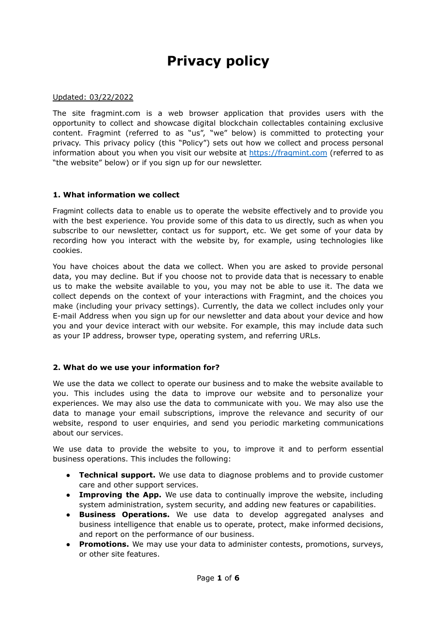# **Privacy policy**

#### Updated: 03/22/2022

The site fragmint.com is a web browser application that provides users with the opportunity to collect and showcase digital blockchain collectables containing exclusive content. Fragmint (referred to as "us", "we" below) is committed to protecting your privacy. This privacy policy (this "Policy") sets out how we collect and process personal information about you when you visit our website at [https://fragmint.com](https://fragmint.app) (referred to as "the website" below) or if you sign up for our newsletter.

#### **1. What information we collect**

Fragmint collects data to enable us to operate the website effectively and to provide you with the best experience. You provide some of this data to us directly, such as when you subscribe to our newsletter, contact us for support, etc. We get some of your data by recording how you interact with the website by, for example, using technologies like cookies.

You have choices about the data we collect. When you are asked to provide personal data, you may decline. But if you choose not to provide data that is necessary to enable us to make the website available to you, you may not be able to use it. The data we collect depends on the context of your interactions with Fragmint, and the choices you make (including your privacy settings). Currently, the data we collect includes only your E-mail Address when you sign up for our newsletter and data about your device and how you and your device interact with our website. For example, this may include data such as your IP address, browser type, operating system, and referring URLs.

### **2. What do we use your information for?**

We use the data we collect to operate our business and to make the website available to you. This includes using the data to improve our website and to personalize your experiences. We may also use the data to communicate with you. We may also use the data to manage your email subscriptions, improve the relevance and security of our website, respond to user enquiries, and send you periodic marketing communications about our services.

We use data to provide the website to you, to improve it and to perform essential business operations. This includes the following:

- **Technical support.** We use data to diagnose problems and to provide customer care and other support services.
- **Improving the App.** We use data to continually improve the website, including system administration, system security, and adding new features or capabilities.
- **Business Operations.** We use data to develop aggregated analyses and business intelligence that enable us to operate, protect, make informed decisions, and report on the performance of our business.
- **Promotions.** We may use your data to administer contests, promotions, surveys, or other site features.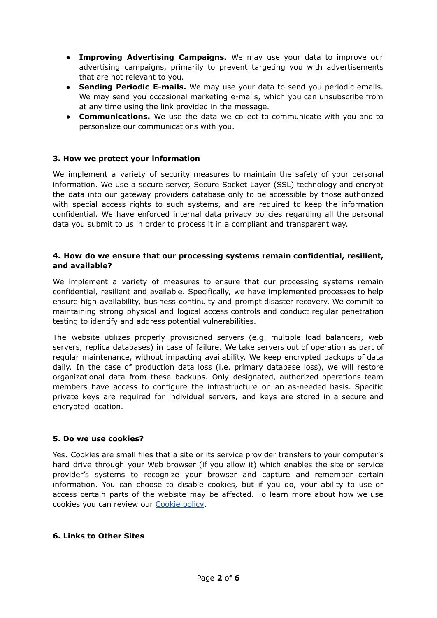- **Improving Advertising Campaigns.** We may use your data to improve our advertising campaigns, primarily to prevent targeting you with advertisements that are not relevant to you.
- **Sending Periodic E-mails.** We may use your data to send you periodic emails. We may send you occasional marketing e-mails, which you can unsubscribe from at any time using the link provided in the message.
- **Communications.** We use the data we collect to communicate with you and to personalize our communications with you.

## **3. How we protect your information**

We implement a variety of security measures to maintain the safety of your personal information. We use a secure server, Secure Socket Layer (SSL) technology and encrypt the data into our gateway providers database only to be accessible by those authorized with special access rights to such systems, and are required to keep the information confidential. We have enforced internal data privacy policies regarding all the personal data you submit to us in order to process it in a compliant and transparent way.

### **4. How do we ensure that our processing systems remain confidential, resilient, and available?**

We implement a variety of measures to ensure that our processing systems remain confidential, resilient and available. Specifically, we have implemented processes to help ensure high availability, business continuity and prompt disaster recovery. We commit to maintaining strong physical and logical access controls and conduct regular penetration testing to identify and address potential vulnerabilities.

The website utilizes properly provisioned servers (e.g. multiple load balancers, web servers, replica databases) in case of failure. We take servers out of operation as part of regular maintenance, without impacting availability. We keep encrypted backups of data daily. In the case of production data loss (i.e. primary database loss), we will restore organizational data from these backups. Only designated, authorized operations team members have access to configure the infrastructure on an as-needed basis. Specific private keys are required for individual servers, and keys are stored in a secure and encrypted location.

### **5. Do we use cookies?**

Yes. Cookies are small files that a site or its service provider transfers to your computer's hard drive through your Web browser (if you allow it) which enables the site or service provider's systems to recognize your browser and capture and remember certain information. You can choose to disable cookies, but if you do, your ability to use or access certain parts of the website may be affected. To learn more about how we use cookies you can review our [Cookie](https://fragmint.app/docs/Cookie%20policy_Fragmint-version%201.0_14122021.pdf) policy.

### **6. Links to Other Sites**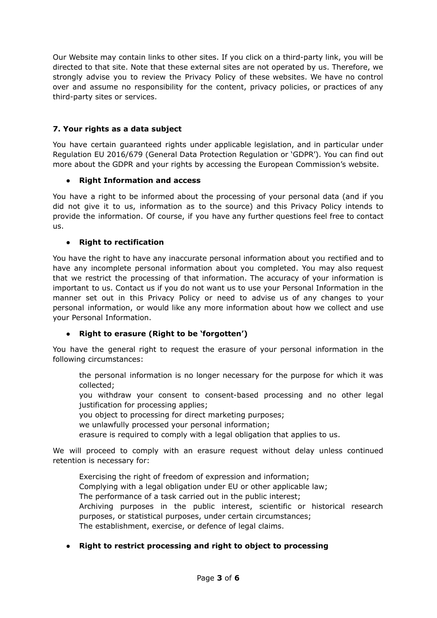Our Website may contain links to other sites. If you click on a third-party link, you will be directed to that site. Note that these external sites are not operated by us. Therefore, we strongly advise you to review the Privacy Policy of these websites. We have no control over and assume no responsibility for the content, privacy policies, or practices of any third-party sites or services.

# **7. Your rights as a data subject**

You have certain guaranteed rights under applicable legislation, and in particular under Regulation EU 2016/679 (General Data Protection Regulation or 'GDPR'). You can find out more about the GDPR and your rights by accessing the European Commission's website.

## **● Right Information and access**

You have a right to be informed about the processing of your personal data (and if you did not give it to us, information as to the source) and this Privacy Policy intends to provide the information. Of course, if you have any further questions feel free to contact us.

## **● Right to rectification**

You have the right to have any inaccurate personal information about you rectified and to have any incomplete personal information about you completed. You may also request that we restrict the processing of that information. The accuracy of your information is important to us. Contact us if you do not want us to use your Personal Information in the manner set out in this Privacy Policy or need to advise us of any changes to your personal information, or would like any more information about how we collect and use your Personal Information.

# **● Right to erasure (Right to be 'forgotten')**

You have the general right to request the erasure of your personal information in the following circumstances:

the personal information is no longer necessary for the purpose for which it was collected;

you withdraw your consent to consent-based processing and no other legal justification for processing applies;

you object to processing for direct marketing purposes;

we unlawfully processed your personal information;

erasure is required to comply with a legal obligation that applies to us.

We will proceed to comply with an erasure request without delay unless continued retention is necessary for:

Exercising the right of freedom of expression and information; Complying with a legal obligation under EU or other applicable law; The performance of a task carried out in the public interest; Archiving purposes in the public interest, scientific or historical research purposes, or statistical purposes, under certain circumstances; The establishment, exercise, or defence of legal claims.

# **● Right to restrict processing and right to object to processing**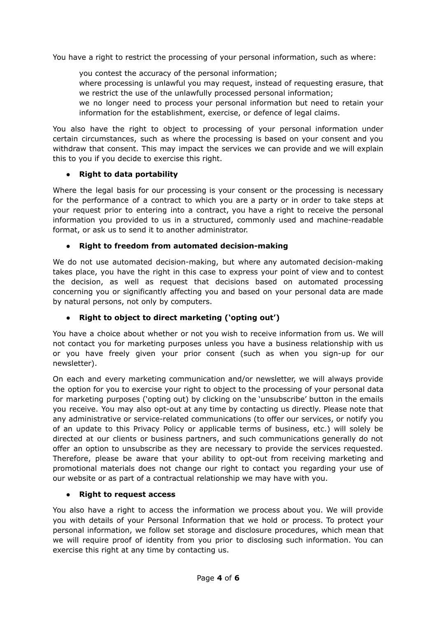You have a right to restrict the processing of your personal information, such as where:

you contest the accuracy of the personal information;

where processing is unlawful you may request, instead of requesting erasure, that we restrict the use of the unlawfully processed personal information;

we no longer need to process your personal information but need to retain your information for the establishment, exercise, or defence of legal claims.

You also have the right to object to processing of your personal information under certain circumstances, such as where the processing is based on your consent and you withdraw that consent. This may impact the services we can provide and we will explain this to you if you decide to exercise this right.

## **● Right to data portability**

Where the legal basis for our processing is your consent or the processing is necessary for the performance of a contract to which you are a party or in order to take steps at your request prior to entering into a contract, you have a right to receive the personal information you provided to us in a structured, commonly used and machine-readable format, or ask us to send it to another administrator.

## **● Right to freedom from automated decision-making**

We do not use automated decision-making, but where any automated decision-making takes place, you have the right in this case to express your point of view and to contest the decision, as well as request that decisions based on automated processing concerning you or significantly affecting you and based on your personal data are made by natural persons, not only by computers.

# **● Right to object to direct marketing ('opting out')**

You have a choice about whether or not you wish to receive information from us. We will not contact you for marketing purposes unless you have a business relationship with us or you have freely given your prior consent (such as when you sign-up for our newsletter).

On each and every marketing communication and/or newsletter, we will always provide the option for you to exercise your right to object to the processing of your personal data for marketing purposes ('opting out) by clicking on the 'unsubscribe' button in the emails you receive. You may also opt-out at any time by contacting us directly. Please note that any administrative or service-related communications (to offer our services, or notify you of an update to this Privacy Policy or applicable terms of business, etc.) will solely be directed at our clients or business partners, and such communications generally do not offer an option to unsubscribe as they are necessary to provide the services requested. Therefore, please be aware that your ability to opt-out from receiving marketing and promotional materials does not change our right to contact you regarding your use of our website or as part of a contractual relationship we may have with you.

### **● Right to request access**

You also have a right to access the information we process about you. We will provide you with details of your Personal Information that we hold or process. To protect your personal information, we follow set storage and disclosure procedures, which mean that we will require proof of identity from you prior to disclosing such information. You can exercise this right at any time by contacting us.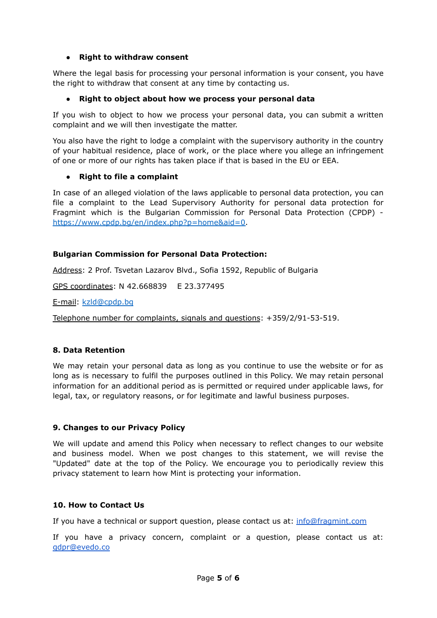## **● Right to withdraw consent**

Where the legal basis for processing your personal information is your consent, you have the right to withdraw that consent at any time by contacting us.

## **● Right to object about how we process your personal data**

If you wish to object to how we process your personal data, you can submit a written complaint and we will then investigate the matter.

You also have the right to lodge a complaint with the supervisory authority in the country of your habitual residence, place of work, or the place where you allege an infringement of one or more of our rights has taken place if that is based in the EU or EEA.

## ● **Right to file a complaint**

In case of an alleged violation of the laws applicable to personal data protection, you can file a complaint to the Lead Supervisory Authority for personal data protection for Fragmint which is the Bulgarian Commission for Personal Data Protection (CPDP) [https://www.cpdp.bg/en/index.php?p=home&aid=0.](https://www.cpdp.bg/en/index.php?p=home&aid=0)

## **Bulgarian Commission for Personal Data Protection:**

Address: 2 Prof. Tsvetan Lazarov Blvd., Sofia 1592, Republic of Bulgaria

GPS coordinates: N 42.668839 E 23.377495

Е-mail: [kzld@cpdp.bg](mailto:kzld@cpdp.bg)

Telephone number for complaints, signals and questions: +359/2/91-53-519.

### **8. Data Retention**

We may retain your personal data as long as you continue to use the website or for as long as is necessary to fulfil the purposes outlined in this Policy. We may retain personal information for an additional period as is permitted or required under applicable laws, for legal, tax, or regulatory reasons, or for legitimate and lawful business purposes.

### **9. Changes to our Privacy Policy**

We will update and amend this Policy when necessary to reflect changes to our website and business model. When we post changes to this statement, we will revise the "Updated" date at the top of the Policy. We encourage you to periodically review this privacy statement to learn how Mint is protecting your information.

### **10. How to Contact Us**

If you have a technical or support question, please contact us at: [info@fragmint.com](mailto:info@fragmint.com)

If you have a privacy concern, complaint or a question, please contact us at: [gdpr@evedo.co](mailto:gdpr@evedo.co)